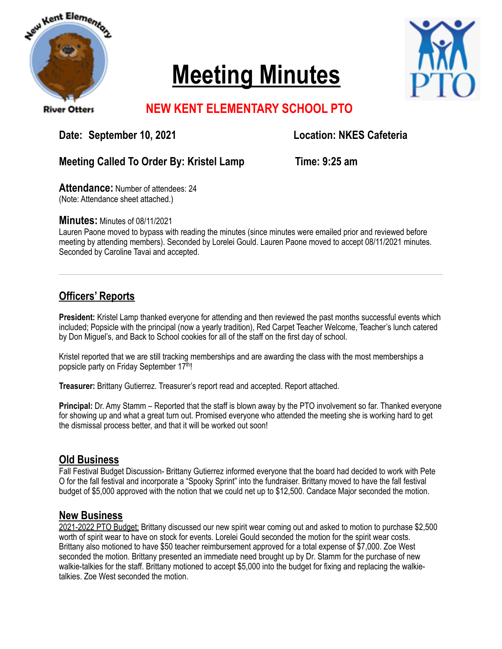

# **Meeting Minutes**



# **NEW KENT ELEMENTARY SCHOOL PTO**

Date: September 10, 2021 **Location: NKES Cafeteria** 

#### **Meeting Called To Order By: Kristel Lamp Time: 9:25 am**

**Attendance:** Number of attendees: 24 (Note: Attendance sheet attached.)

**Minutes:** Minutes of 08/11/2021

Lauren Paone moved to bypass with reading the minutes (since minutes were emailed prior and reviewed before meeting by attending members). Seconded by Lorelei Gould. Lauren Paone moved to accept 08/11/2021 minutes. Seconded by Caroline Tavai and accepted.

## **Officers' Reports**

**President:** Kristel Lamp thanked everyone for attending and then reviewed the past months successful events which included; Popsicle with the principal (now a yearly tradition), Red Carpet Teacher Welcome, Teacher's lunch catered by Don Miguel's, and Back to School cookies for all of the staff on the first day of school.

Kristel reported that we are still tracking memberships and are awarding the class with the most memberships a popsicle party on Friday September 17th!

**Treasurer:** Brittany Gutierrez. Treasurer's report read and accepted. Report attached.

**Principal:** Dr. Amy Stamm – Reported that the staff is blown away by the PTO involvement so far. Thanked everyone for showing up and what a great turn out. Promised everyone who attended the meeting she is working hard to get the dismissal process better, and that it will be worked out soon!

### **Old Business**

Fall Festival Budget Discussion- Brittany Gutierrez informed everyone that the board had decided to work with Pete O for the fall festival and incorporate a "Spooky Sprint" into the fundraiser. Brittany moved to have the fall festival budget of \$5,000 approved with the notion that we could net up to \$12,500. Candace Major seconded the motion.

#### **New Business**

2021-2022 PTO Budget: Brittany discussed our new spirit wear coming out and asked to motion to purchase \$2,500 worth of spirit wear to have on stock for events. Lorelei Gould seconded the motion for the spirit wear costs. Brittany also motioned to have \$50 teacher reimbursement approved for a total expense of \$7,000. Zoe West seconded the motion. Brittany presented an immediate need brought up by Dr. Stamm for the purchase of new walkie-talkies for the staff. Brittany motioned to accept \$5,000 into the budget for fixing and replacing the walkietalkies. Zoe West seconded the motion.